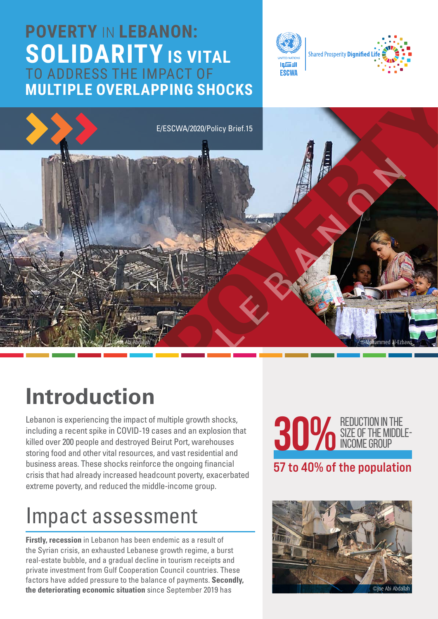#### **POVERTY** IN **LEBANON: SOLIDARITY IS VITAL** TO ADDRESS THE IMPACT OF **MULTIPLE OVERLAPPING SHOCKS**





## **Introduction**

Lebanon is experiencing the impact of multiple growth shocks, including a recent spike in COVID-19 cases and an explosion that killed over 200 people and destroyed Beirut Port, warehouses storing food and other vital resources, and vast residential and business areas. These shocks reinforce the ongoing financial crisis that had already increased headcount poverty, exacerbated extreme poverty, and reduced the middle-income group.

## Impact assessment

**Firstly, recession** in Lebanon has been endemic as a result of the Syrian crisis, an exhausted Lebanese growth regime, a burst real-estate bubble, and a gradual decline in tourism receipts and private investment from Gulf Cooperation Council countries. These factors have added pressure to the balance of payments. **Secondly, the deteriorating economic situation** since September 2019 has

![](_page_0_Picture_7.jpeg)

![](_page_0_Picture_8.jpeg)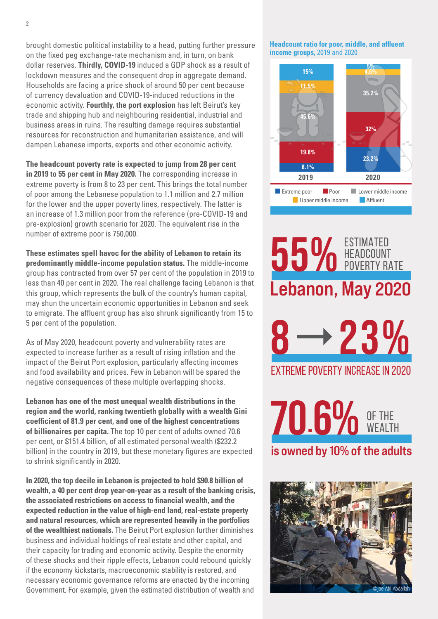brought domestic political instability to a head, putting further pressure on the fixed peg exchange-rate mechanism and, in turn, on bank dollar reserves. **Thirdly, COVID-19** induced a GDP shock as a result of lockdown measures and the consequent drop in aggregate demand. Households are facing a price shock of around 50 per cent because of currency devaluation and COVID-19-induced reductions in the economic activity. **Fourthly, the port explosion** has left Beirut's key trade and shipping hub and neighbouring residential, industrial and business areas in ruins. The resulting damage requires substantial resources for reconstruction and humanitarian assistance, and will dampen Lebanese imports, exports and other economic activity.

**The headcount poverty rate is expected to jump from 28 per cent in 2019 to 55 per cent in May 2020.** The corresponding increase in extreme poverty is from 8 to 23 per cent. This brings the total number of poor among the Lebanese population to 1.1 million and 2.7 million for the lower and the upper poverty lines, respectively. The latter is an increase of 1.3 million poor from the reference (pre-COVID-19 and pre-explosion) growth scenario for 2020. The equivalent rise in the number of extreme poor is 750,000.

**These estimates spell havoc for the ability of Lebanon to retain its predominantly middle-income population status.** The middle-income group has contracted from over 57 per cent of the population in 2019 to less than 40 per cent in 2020. The real challenge facing Lebanon is that this group, which represents the bulk of the country's human capital, may shun the uncertain economic opportunities in Lebanon and seek to emigrate. The affluent group has also shrunk significantly from 15 to 5 per cent of the population.

As of May 2020, headcount poverty and vulnerability rates are expected to increase further as a result of rising inflation and the impact of the Beirut Port explosion, particularly affecting incomes and food availability and prices. Few in Lebanon will be spared the negative consequences of these multiple overlapping shocks.

**Lebanon has one of the most unequal wealth distributions in the region and the world, ranking twentieth globally with a wealth Gini coefficient of 81.9 per cent, and one of the highest concentrations of billionaires per capita.** The top 10 per cent of adults owned 70.6 per cent, or \$151.4 billion, of all estimated personal wealth (\$232.2 billion) in the country in 2019, but these monetary figures are expected to shrink significantly in 2020.

**In 2020, the top decile in Lebanon is projected to hold \$90.8 billion of wealth, a 40 per cent drop year-on-year as a result of the banking crisis, the associated restrictions on access to financial wealth, and the expected reduction in the value of high-end land, real-estate property and natural resources, which are represented heavily in the portfolios of the wealthiest nationals.** The Beirut Port explosion further diminishes business and individual holdings of real estate and other capital, and their capacity for trading and economic activity. Despite the enormity of these shocks and their ripple effects, Lebanon could rebound quickly if the economy kickstarts, macroeconomic stability is restored, and necessary economic governance reforms are enacted by the incoming Government. For example, given the estimated distribution of wealth and

**Headcount ratio for poor, middle, and affluent income groups,** 2019 and 2020

![](_page_1_Figure_7.jpeg)

# Lebanon, May 2020 55% ESTIMATED HEADCOUNT POVERTY RATE extreme poverty increase in 2020 **823%**

is owned by 10% of the adults **70.6%** OF THE

![](_page_1_Picture_10.jpeg)